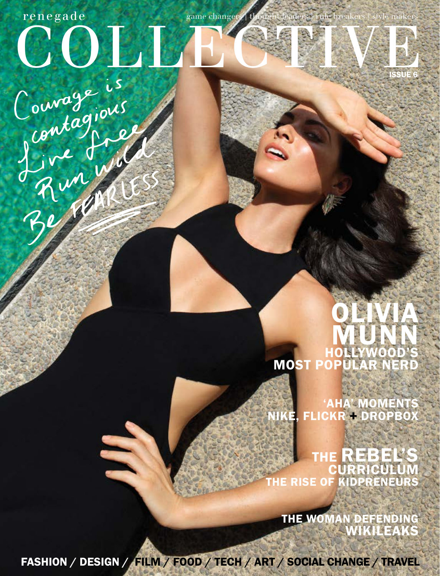## ISSUE 6 Couragions<br>Contagions  $\mathbf{rene\mathbf{g}ade}$  game changers | style makers | style makers | style makers | style makers | style makers | style makers | style makers | style makers | style makers | style makers | style makers | style makers | style m

## OLIVIA **MUNN** HOLLYWOOD'S MOST POPULAR NERD

'AHA' MOMENT NIKE, FLICKR + DROPBOX

THE REBEL'S CURRICULUM THE RISE OF KIDPRENEURS

THE WOMAN DEFENDING WIKILEAKS

FASHION / DESIGN / FILM / FOOD / TECH / ART / SOCIAL CHANGE / TRAVEL